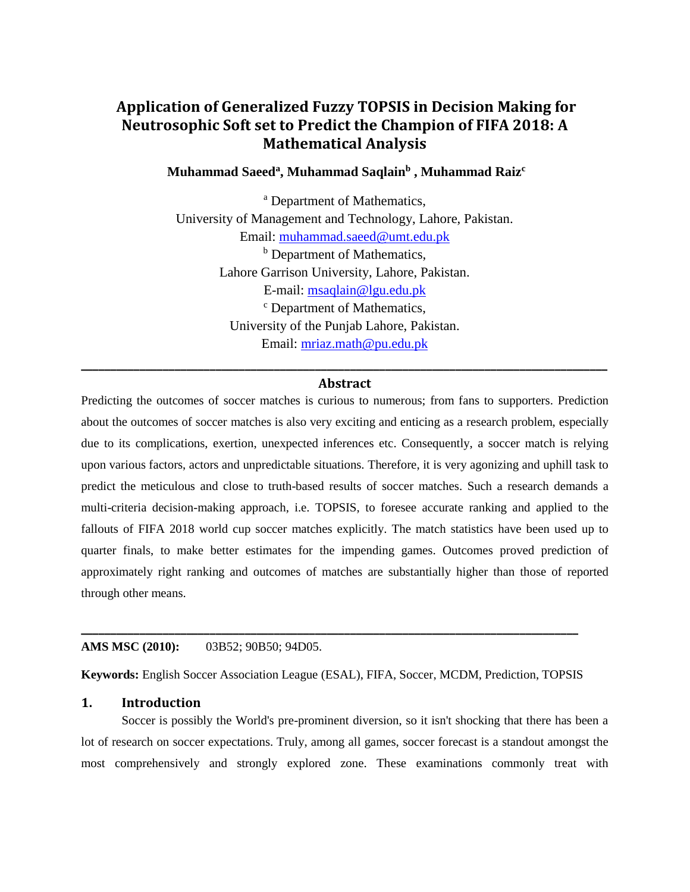# **Application of Generalized Fuzzy TOPSIS in Decision Making for Neutrosophic Soft set to Predict the Champion of FIFA 2018: A Mathematical Analysis**

#### **Muhammad Saeed<sup>a</sup> , Muhammad Saqlain<sup>b</sup> , Muhammad Raiz<sup>c</sup>**

<sup>a</sup> Department of Mathematics, University of Management and Technology, Lahore, Pakistan. Email: [muhammad.saeed@umt.edu.pk](mailto:muhammad.saeed@umt.edu.pk) <sup>b</sup> Department of Mathematics, Lahore Garrison University, Lahore, Pakistan. E-mail: [msaqlain@lgu.edu.pk](mailto:msaqlain@lgu.edu.pk) <sup>c</sup> Department of Mathematics, University of the Punjab Lahore, Pakistan. Email: [mriaz.math@pu.edu.pk](mailto:mriaz.math@pu.edu.pk)

## **\_\_\_\_\_\_\_\_\_\_\_\_\_\_\_\_\_\_\_\_\_\_\_\_\_\_\_\_\_\_\_\_\_\_\_\_\_\_\_\_\_\_\_\_\_\_\_\_\_\_\_\_\_\_\_\_\_\_\_\_\_\_\_\_\_\_\_\_\_\_\_\_\_\_\_\_\_\_\_\_\_\_\_\_\_\_\_\_\_\_ Abstract**

Predicting the outcomes of soccer matches is curious to numerous; from fans to supporters. Prediction about the outcomes of soccer matches is also very exciting and enticing as a research problem, especially due to its complications, exertion, unexpected inferences etc. Consequently, a soccer match is relying upon various factors, actors and unpredictable situations. Therefore, it is very agonizing and uphill task to predict the meticulous and close to truth-based results of soccer matches. Such a research demands a multi-criteria decision-making approach, i.e. TOPSIS, to foresee accurate ranking and applied to the fallouts of FIFA 2018 world cup soccer matches explicitly. The match statistics have been used up to quarter finals, to make better estimates for the impending games. Outcomes proved prediction of approximately right ranking and outcomes of matches are substantially higher than those of reported through other means.

#### **AMS MSC (2010):** 03B52; 90B50; 94D05.

**Keywords:** English Soccer Association League (ESAL), FIFA, Soccer, MCDM, Prediction, TOPSIS

**\_\_\_\_\_\_\_\_\_\_\_\_\_\_\_\_\_\_\_\_\_\_\_\_\_\_\_\_\_\_\_\_\_\_\_\_\_\_\_\_\_\_\_\_\_\_\_\_\_\_\_\_\_\_\_\_\_\_\_\_\_\_\_\_\_\_\_\_\_\_\_\_\_\_\_\_\_\_\_\_\_\_\_\_\_**

#### **1. Introduction**

Soccer is possibly the World's pre-prominent diversion, so it isn't shocking that there has been a lot of research on soccer expectations. Truly, among all games, soccer forecast is a standout amongst the most comprehensively and strongly explored zone. These examinations commonly treat with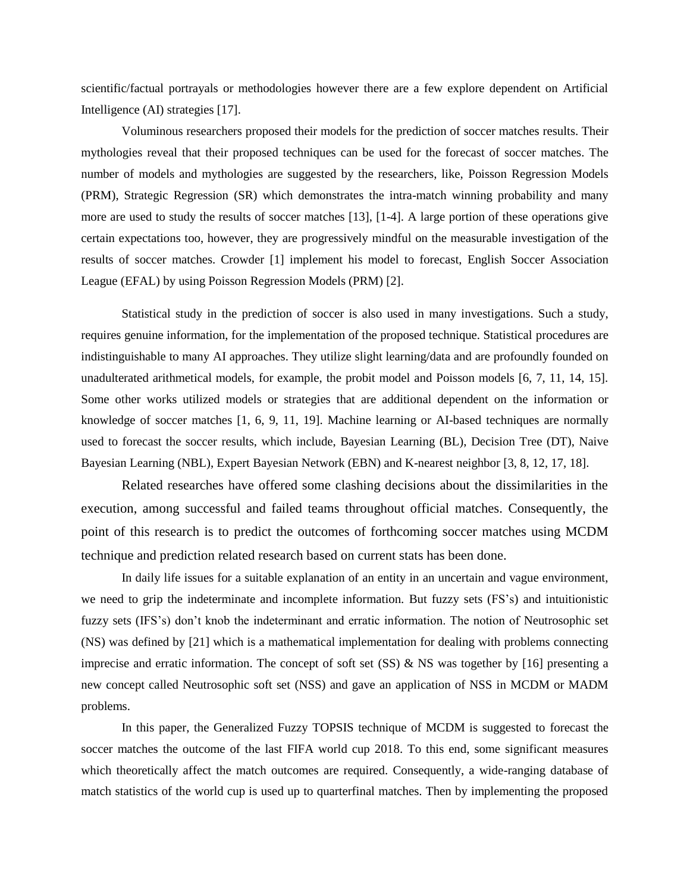scientific/factual portrayals or methodologies however there are a few explore dependent on Artificial Intelligence (AI) strategies [17].

Voluminous researchers proposed their models for the prediction of soccer matches results. Their mythologies reveal that their proposed techniques can be used for the forecast of soccer matches. The number of models and mythologies are suggested by the researchers, like, Poisson Regression Models (PRM), Strategic Regression (SR) which demonstrates the intra-match winning probability and many more are used to study the results of soccer matches [13], [1-4]. A large portion of these operations give certain expectations too, however, they are progressively mindful on the measurable investigation of the results of soccer matches. Crowder [1] implement his model to forecast, English Soccer Association League (EFAL) by using Poisson Regression Models (PRM) [2].

Statistical study in the prediction of soccer is also used in many investigations. Such a study, requires genuine information, for the implementation of the proposed technique. Statistical procedures are indistinguishable to many AI approaches. They utilize slight learning/data and are profoundly founded on unadulterated arithmetical models, for example, the probit model and Poisson models [6, 7, 11, 14, 15]. Some other works utilized models or strategies that are additional dependent on the information or knowledge of soccer matches [1, 6, 9, 11, 19]. Machine learning or AI-based techniques are normally used to forecast the soccer results, which include, Bayesian Learning (BL), Decision Tree (DT), Naive Bayesian Learning (NBL), Expert Bayesian Network (EBN) and K-nearest neighbor [3, 8, 12, 17, 18].

Related researches have offered some clashing decisions about the dissimilarities in the execution, among successful and failed teams throughout official matches. Consequently, the point of this research is to predict the outcomes of forthcoming soccer matches using MCDM technique and prediction related research based on current stats has been done.

In daily life issues for a suitable explanation of an entity in an uncertain and vague environment, we need to grip the indeterminate and incomplete information. But fuzzy sets (FS's) and intuitionistic fuzzy sets (IFS's) don't knob the indeterminant and erratic information. The notion of Neutrosophic set (NS) was defined by [21] which is a mathematical implementation for dealing with problems connecting imprecise and erratic information. The concept of soft set (SS) & NS was together by [16] presenting a new concept called Neutrosophic soft set (NSS) and gave an application of NSS in MCDM or MADM problems.

In this paper, the Generalized Fuzzy TOPSIS technique of MCDM is suggested to forecast the soccer matches the outcome of the last FIFA world cup 2018. To this end, some significant measures which theoretically affect the match outcomes are required. Consequently, a wide-ranging database of match statistics of the world cup is used up to quarterfinal matches. Then by implementing the proposed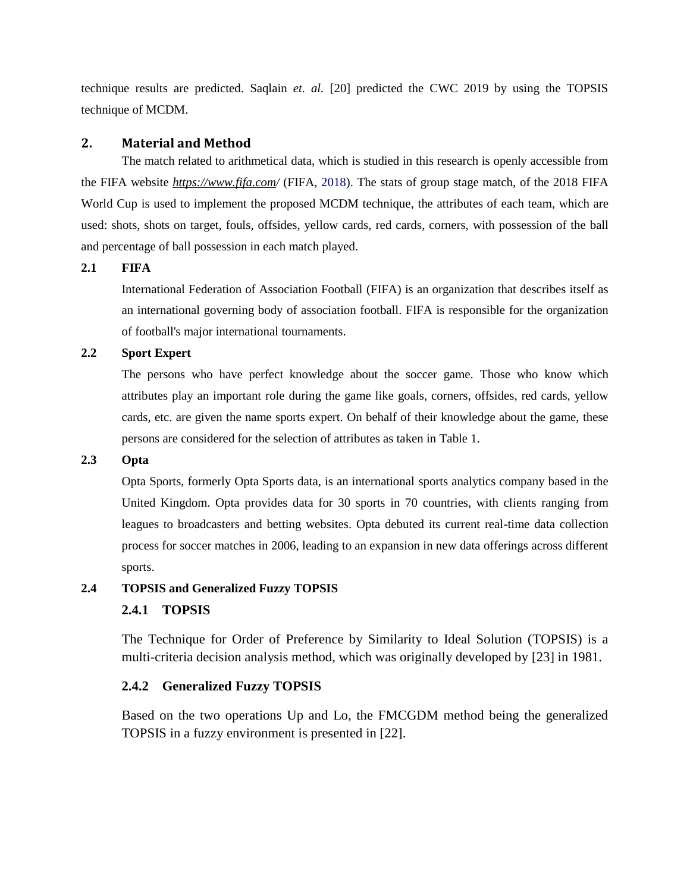technique results are predicted. Saqlain *et. al.* [20] predicted the CWC 2019 by using the TOPSIS technique of MCDM.

#### **2. Material and Method**

The match related to arithmetical data, which is studied in this research is openly accessible from the FIFA website *https://www.fifa.com/* (FIFA, 2018). The stats of group stage match, of the 2018 FIFA World Cup is used to implement the proposed MCDM technique, the attributes of each team, which are used: shots, shots on target, fouls, offsides, yellow cards, red cards, corners, with possession of the ball and percentage of ball possession in each match played.

#### **2.1 FIFA**

International Federation of Association Football (FIFA) is an organization that describes itself as an international [governing body](https://en.wikipedia.org/wiki/Sport_governing_body) of [association football.](https://en.wikipedia.org/wiki/Association_football) FIFA is responsible for the organization of football's major international [tournaments.](https://en.wikipedia.org/wiki/Tournaments)

### **2.2 Sport Expert**

The persons who have perfect knowledge about the soccer game. Those who know which attributes play an important role during the game like goals, corners, offsides, red cards, yellow cards, etc. are given the name sports expert. On behalf of their knowledge about the game, these persons are considered for the selection of attributes as taken in Table 1.

### **2.3 Opta**

Opta Sports, formerly Opta Sports data, is an international [sports analytics](https://en.wikipedia.org/wiki/Sports_analytics) company based in the United Kingdom. Opta provides data for 30 sports in 70 countries, with clients ranging from leagues to broadcasters and betting websites. Opta debuted its current real-time data collection process for soccer matches in 2006, leading to an expansion in new data offerings across different sports.

#### **2.4 TOPSIS and Generalized Fuzzy TOPSIS**

#### **2.4.1 TOPSIS**

The Technique for Order of Preference by Similarity to Ideal Solution (TOPSIS) is a multi-criteria decision analysis method, which was originally developed by [23] in 1981.

#### **2.4.2 Generalized Fuzzy TOPSIS**

Based on the two operations Up and Lo, the FMCGDM method being the generalized TOPSIS in a fuzzy environment is presented in [22].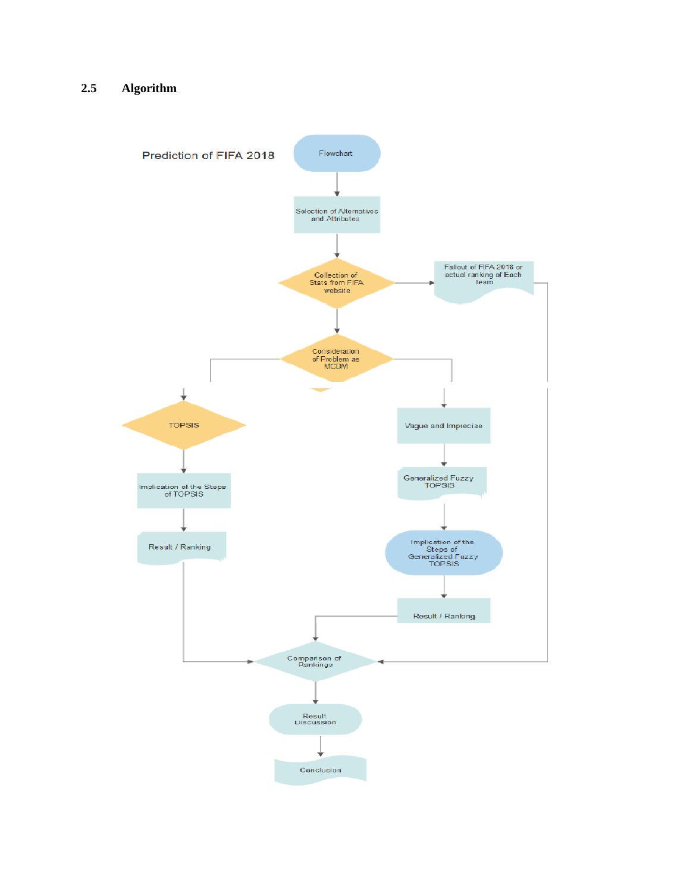### **2.5 Algorithm**

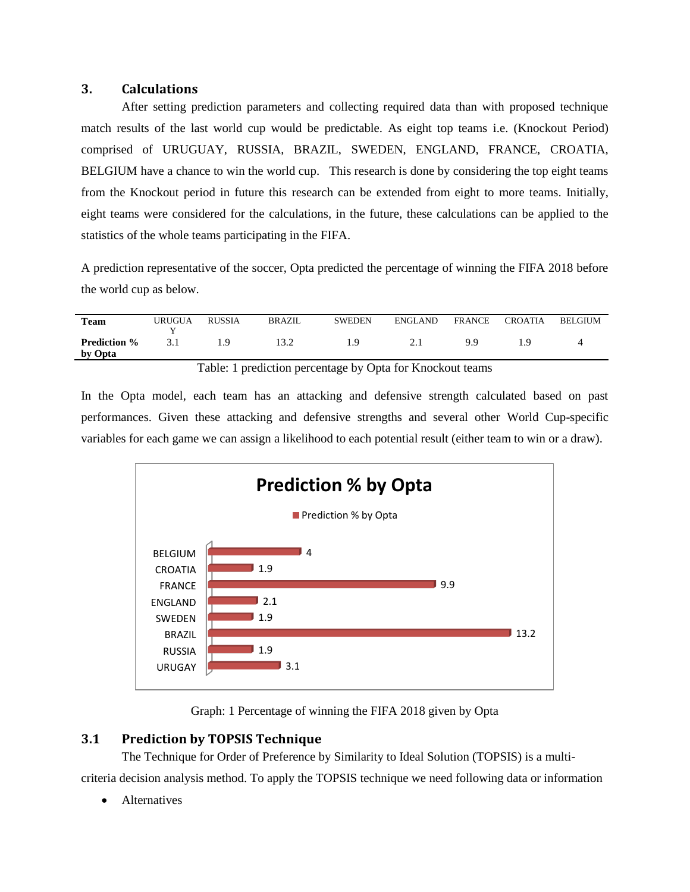#### **3. Calculations**

After setting prediction parameters and collecting required data than with proposed technique match results of the last world cup would be predictable. As eight top teams i.e. (Knockout Period) comprised of URUGUAY, RUSSIA, BRAZIL, SWEDEN, ENGLAND, FRANCE, CROATIA, BELGIUM have a chance to win the world cup. This research is done by considering the top eight teams from the Knockout period in future this research can be extended from eight to more teams. Initially, eight teams were considered for the calculations, in the future, these calculations can be applied to the statistics of the whole teams participating in the FIFA.

A prediction representative of the soccer, Opta predicted the percentage of winning the FIFA 2018 before the world cup as below.

| <b>Team</b>         | URUGUA | <b>RUSSIA</b> | BRAZIL | <b>SWEDEN</b> | <b>ENGLAND</b> | <b>FRANCE</b> | <b>CROATIA</b> | <b>BELGIUM</b> |
|---------------------|--------|---------------|--------|---------------|----------------|---------------|----------------|----------------|
|                     |        |               |        |               |                |               |                |                |
| <b>Prediction</b> % |        |               |        | ΙЧ            | $\sim$ 1       | 9 Q           | ΙQ             |                |
| by Opta             |        |               |        |               |                |               |                |                |
|                     |        | ____          | .      | $\sim$ $\sim$ | $\sim$ $\sim$  |               |                |                |

Table: 1 prediction percentage by Opta for Knockout teams

In the Opta model, each team has an attacking and defensive strength calculated based on past performances. Given these attacking and defensive strengths and several other [World Cup-](http://www.fifa.com/worldcup/index.html)specific variables for each game we can assign a likelihood to each potential result (either team to win or a draw).



Graph: 1 Percentage of winning the FIFA 2018 given by Opta

### **3.1 Prediction by TOPSIS Technique**

The Technique for Order of Preference by Similarity to Ideal Solution (TOPSIS) is a multi-

criteria decision analysis method. To apply the TOPSIS technique we need following data or information

**Alternatives**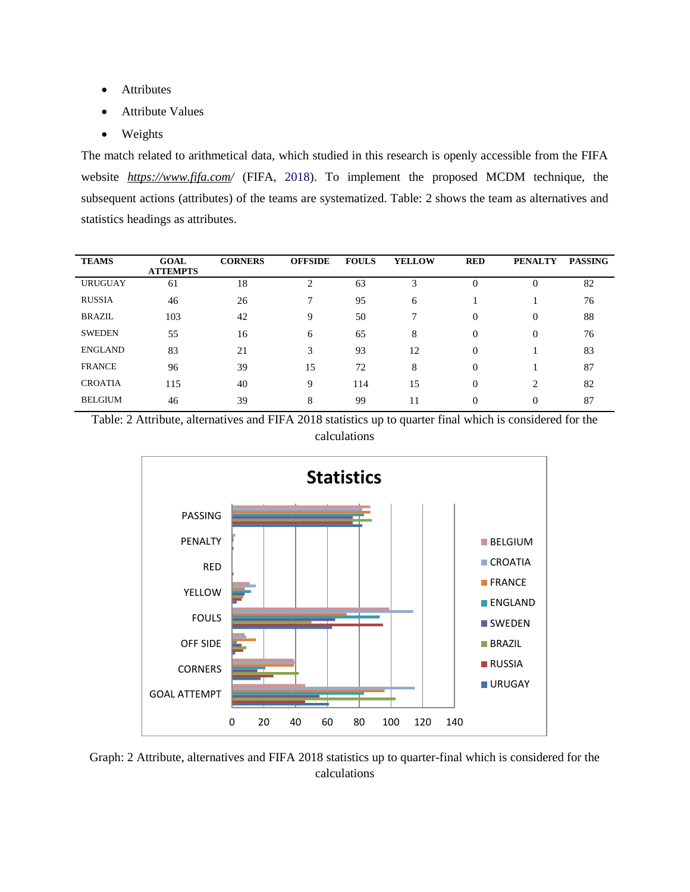- Attributes
- Attribute Values
- Weights

The match related to arithmetical data, which studied in this research is openly accessible from the FIFA website *https://www.fifa.com/* (FIFA, 2018). To implement the proposed MCDM technique, the subsequent actions (attributes) of the teams are systematized. Table: 2 shows the team as alternatives and statistics headings as attributes.

| <b>TEAMS</b>   | <b>GOAL</b><br><b>ATTEMPTS</b> | <b>CORNERS</b> | <b>OFFSIDE</b> | <b>FOULS</b> | <b>YELLOW</b> | <b>RED</b> | <b>PENALTY</b> | <b>PASSING</b> |
|----------------|--------------------------------|----------------|----------------|--------------|---------------|------------|----------------|----------------|
| <b>URUGUAY</b> | 61                             | 18             | $\overline{2}$ | 63           | 3             | $\Omega$   | 0              | 82             |
| <b>RUSSIA</b>  | 46                             | 26             | 7              | 95           | 6             |            |                | 76             |
| <b>BRAZIL</b>  | 103                            | 42             | 9              | 50           | $\mathbf{r}$  | $\Omega$   | 0              | 88             |
| <b>SWEDEN</b>  | 55                             | 16             | 6              | 65           | 8             | $\Omega$   | 0              | 76             |
| <b>ENGLAND</b> | 83                             | 21             | 3              | 93           | 12            | $\Omega$   |                | 83             |
| <b>FRANCE</b>  | 96                             | 39             | 15             | 72           | 8             | $\Omega$   |                | 87             |
| <b>CROATIA</b> | 115                            | 40             | 9              | 114          | 15            | $\Omega$   | $\overline{c}$ | 82             |
| <b>BELGIUM</b> | 46                             | 39             | 8              | 99           | 11            | $\Omega$   | $\Omega$       | 87             |





Graph: 2 Attribute, alternatives and FIFA 2018 statistics up to quarter-final which is considered for the calculations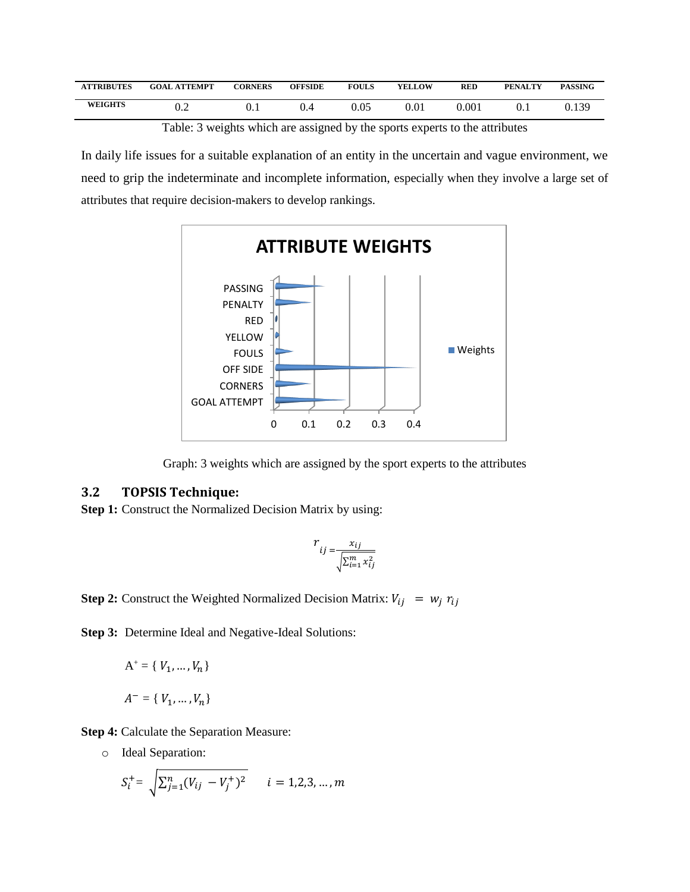| <b>ATTRIBUTES</b> | <b>GOAL ATTEMPT</b> | <b>CORNERS</b> | <b>OFFSIDE</b> | <b>FOULS</b> | <b>YELLOW</b> | <b>RED</b> | <b>PENALTY</b> | <b>PASSING</b> |
|-------------------|---------------------|----------------|----------------|--------------|---------------|------------|----------------|----------------|
| <b>WEIGHTS</b>    | U.Z                 |                | $\sqrt{ }$     | 0.05         | $\rm 0.01$    | 0.001      | U.I            | J.139          |

Table: 3 weights which are assigned by the sports experts to the attributes

In daily life issues for a suitable explanation of an entity in the uncertain and vague environment, we need to grip the indeterminate and incomplete information, especially when they involve a large set of attributes that require decision-makers to develop rankings.



Graph: 3 weights which are assigned by the sport experts to the attributes

### **3.2 TOPSIS Technique:**

**Step 1:** Construct the Normalized Decision Matrix by using:

$$
r_{ij} = \frac{x_{ij}}{\sqrt{\sum_{i=1}^{m} x_{ij}^2}}
$$

**Step 2:** Construct the Weighted Normalized Decision Matrix:  $V_{ij} = w_j r_{ij}$ 

**Step 3:** Determine Ideal and Negative-Ideal Solutions:

$$
A^{+} = \{ V_1, ..., V_n \}
$$

$$
A^{-} = \{ V_1, ..., V_n \}
$$

**Step 4:** Calculate the Separation Measure:

o Ideal Separation:

$$
S_i^+ = \sqrt{\sum_{j=1}^n (V_{ij} - V_j^+)^2} \qquad i = 1, 2, 3, ..., m
$$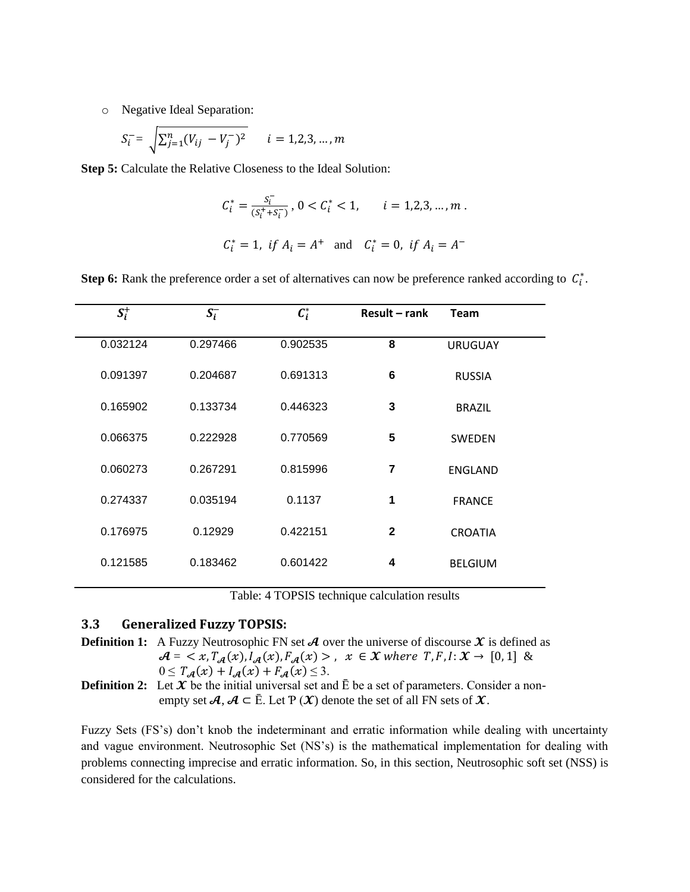o Negative Ideal Separation:

$$
S_i^- = \sqrt{\sum_{j=1}^n (V_{ij} - V_j^-)^2} \qquad i = 1, 2, 3, ..., m
$$

**Step 5:** Calculate the Relative Closeness to the Ideal Solution:

$$
C_i^* = \frac{s_i^-}{(s_i^* + s_i^-)}, \ 0 < C_i^* < 1, \qquad i = 1, 2, 3, \dots, m \; .
$$
\n
$$
C_i^* = 1, \ \text{if } A_i = A^+ \quad \text{and} \quad C_i^* = 0, \ \text{if } A_i = A^-
$$

**Step 6:** Rank the preference order a set of alternatives can now be preference ranked according to  $C_i^*$ .

| $S_i^+$  | $S_i^-$  | $C_i^*$  | Result – rank  | <b>Team</b>    |
|----------|----------|----------|----------------|----------------|
| 0.032124 | 0.297466 | 0.902535 | 8              | <b>URUGUAY</b> |
| 0.091397 | 0.204687 | 0.691313 | 6              | <b>RUSSIA</b>  |
| 0.165902 | 0.133734 | 0.446323 | 3              | <b>BRAZIL</b>  |
| 0.066375 | 0.222928 | 0.770569 | 5              | <b>SWEDEN</b>  |
| 0.060273 | 0.267291 | 0.815996 | $\overline{7}$ | <b>ENGLAND</b> |
| 0.274337 | 0.035194 | 0.1137   | 1              | <b>FRANCE</b>  |
| 0.176975 | 0.12929  | 0.422151 | $\mathbf{2}$   | <b>CROATIA</b> |
| 0.121585 | 0.183462 | 0.601422 | 4              | <b>BELGIUM</b> |
|          |          |          |                |                |

Table: 4 TOPSIS technique calculation results

#### **3.3 Generalized Fuzzy TOPSIS:**

**Definition 1:** A Fuzzy Neutrosophic FN set  $\mathcal A$  over the universe of discourse  $\mathcal X$  is defined as  $\mathcal{A} = \langle x, T_{\mathcal{A}}(x), I_{\mathcal{A}}(x), F_{\mathcal{A}}(x) \rangle, x \in \mathcal{X}$  where  $T, F, I: \mathcal{X} \to [0, 1]$  &  $0 \leq T_{\mathcal{A}}(x) + I_{\mathcal{A}}(x) + F_{\mathcal{A}}(x) \leq 3.$ 

**Definition 2:** Let  $\mathcal{X}$  be the initial universal set and  $\bar{E}$  be a set of parameters. Consider a nonempty set  $A, A \subset \overline{E}$ . Let  $P(X)$  denote the set of all FN sets of  $X$ .

Fuzzy Sets (FS's) don't knob the indeterminant and erratic information while dealing with uncertainty and vague environment. Neutrosophic Set (NS's) is the mathematical implementation for dealing with problems connecting imprecise and erratic information. So, in this section, Neutrosophic soft set (NSS) is considered for the calculations.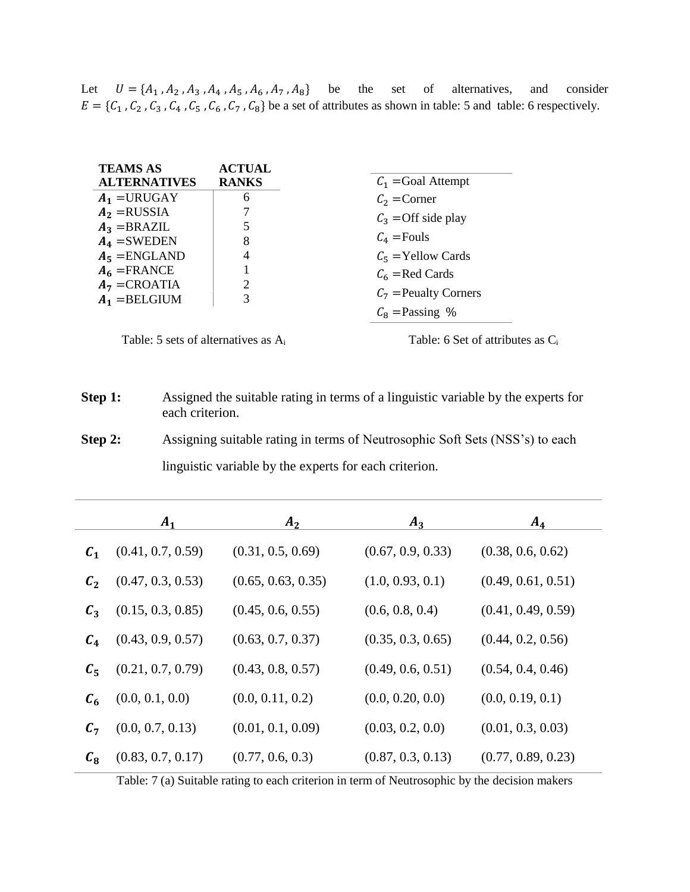Let  $U = \{A_1, A_2, A_3, A_4, A_5, A_6, A_7, A_8\}$  be the set of alternatives, and consider  $E = \{C_1, C_2, C_3, C_4, C_5, C_6, C_7, C_8\}$  be a set of attributes as shown in table: 5 and table: 6 respectively.

| <b>TEAMS AS</b>     | <b>ACTUAL</b> |                         |
|---------------------|---------------|-------------------------|
| <b>ALTERNATIVES</b> | <b>RANKS</b>  | $C_1$ = Goal Attempt    |
| $A_1$ =URUGAY       | 6             | $C_2$ = Corner          |
| $A_2$ = RUSSIA      |               | $C_3$ =Off side play    |
| $A_3 = BRAZIL$      |               |                         |
| $A_4$ =SWEDEN       | 8             | $C_4$ = Fouls           |
| $A_5$ = ENGLAND     |               | $C_5$ = Yellow Cards    |
| $A_6$ =FRANCE       |               | $C_6$ = Red Cards       |
| $A_7 = CROATIA$     | 2             |                         |
| $A_1 = BELGIUM$     | 3             | $C_7$ = Peualty Corners |
|                     |               | $C_8$ = Passing %       |
|                     |               |                         |

Table: 5 sets of alternatives as A<sub>i</sub> Table: 6 Set of attributes as C<sub>i</sub>

**Step 1:** Assigned the suitable rating in terms of a linguistic variable by the experts for each criterion.

**Step 2:** Assigning suitable rating in terms of Neutrosophic Soft Sets (NSS's) to each linguistic variable by the experts for each criterion.

|                 | $A_1$             | A <sub>2</sub>     | $A_3$             | $A_4$              |
|-----------------|-------------------|--------------------|-------------------|--------------------|
| $\mathcal{C}_1$ | (0.41, 0.7, 0.59) | (0.31, 0.5, 0.69)  | (0.67, 0.9, 0.33) | (0.38, 0.6, 0.62)  |
| $C_2$           | (0.47, 0.3, 0.53) | (0.65, 0.63, 0.35) | (1.0, 0.93, 0.1)  | (0.49, 0.61, 0.51) |
| $C_3$           | (0.15, 0.3, 0.85) | (0.45, 0.6, 0.55)  | (0.6, 0.8, 0.4)   | (0.41, 0.49, 0.59) |
| $C_4$           | (0.43, 0.9, 0.57) | (0.63, 0.7, 0.37)  | (0.35, 0.3, 0.65) | (0.44, 0.2, 0.56)  |
| $C_5$           | (0.21, 0.7, 0.79) | (0.43, 0.8, 0.57)  | (0.49, 0.6, 0.51) | (0.54, 0.4, 0.46)  |
| $c_{\rm 6}$     | (0.0, 0.1, 0.0)   | (0.0, 0.11, 0.2)   | (0.0, 0.20, 0.0)  | (0.0, 0.19, 0.1)   |
| $C_7$           | (0.0, 0.7, 0.13)  | (0.01, 0.1, 0.09)  | (0.03, 0.2, 0.0)  | (0.01, 0.3, 0.03)  |
| $c_{\rm a}$     | (0.83, 0.7, 0.17) | (0.77, 0.6, 0.3)   | (0.87, 0.3, 0.13) | (0.77, 0.89, 0.23) |

Table: 7 (a) Suitable rating to each criterion in term of Neutrosophic by the decision makers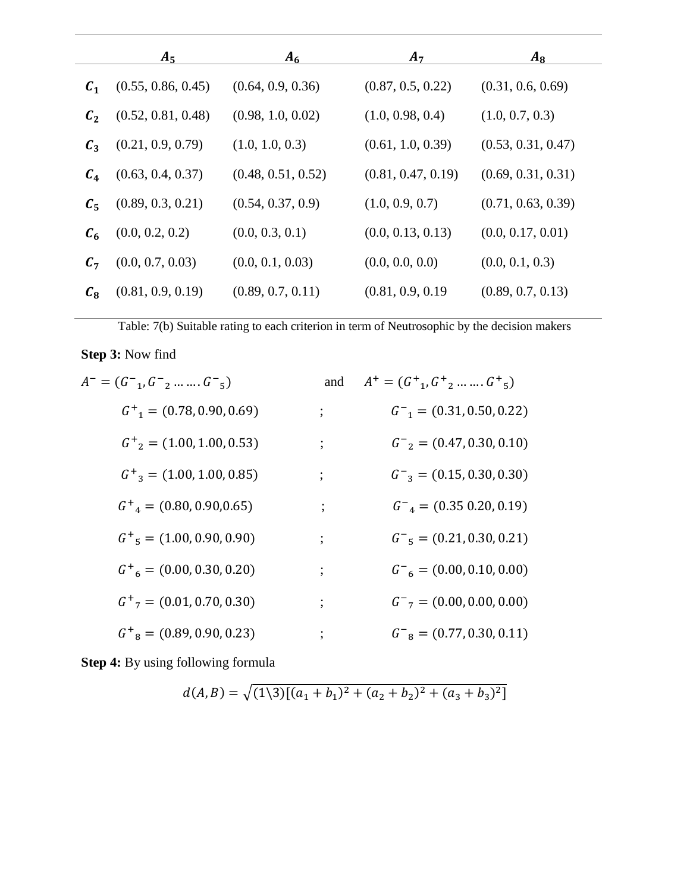|                 | $A_5$              | $A_6$              | $A_7$              | $A_8$              |
|-----------------|--------------------|--------------------|--------------------|--------------------|
| $\mathcal{C}_1$ | (0.55, 0.86, 0.45) | (0.64, 0.9, 0.36)  | (0.87, 0.5, 0.22)  | (0.31, 0.6, 0.69)  |
| $\mathcal{C}_2$ | (0.52, 0.81, 0.48) | (0.98, 1.0, 0.02)  | (1.0, 0.98, 0.4)   | (1.0, 0.7, 0.3)    |
| $C_3$           | (0.21, 0.9, 0.79)  | (1.0, 1.0, 0.3)    | (0.61, 1.0, 0.39)  | (0.53, 0.31, 0.47) |
| $C_4$           | (0.63, 0.4, 0.37)  | (0.48, 0.51, 0.52) | (0.81, 0.47, 0.19) | (0.69, 0.31, 0.31) |
| $C_{5}$         | (0.89, 0.3, 0.21)  | (0.54, 0.37, 0.9)  | (1.0, 0.9, 0.7)    | (0.71, 0.63, 0.39) |
| $c_{\epsilon}$  | (0.0, 0.2, 0.2)    | (0.0, 0.3, 0.1)    | (0.0, 0.13, 0.13)  | (0.0, 0.17, 0.01)  |
| $C_7$           | (0.0, 0.7, 0.03)   | (0.0, 0.1, 0.03)   | (0.0, 0.0, 0.0)    | (0.0, 0.1, 0.3)    |
| $c_{\rm a}$     | (0.81, 0.9, 0.19)  | (0.89, 0.7, 0.11)  | (0.81, 0.9, 0.19)  | (0.89, 0.7, 0.13)  |

Table: 7(b) Suitable rating to each criterion in term of Neutrosophic by the decision makers

# **Step 3:** Now find

| $A^- = (G^-_1, G^-_2, \ldots, G^-_5)$   | and      | $A^+ = (G^+_{1}, G^+_{2}, \ldots, G^+_{5})$ |
|-----------------------------------------|----------|---------------------------------------------|
| $G_{1}^{+} = (0.78, 0.90, 0.69)$        | $\vdots$ | $G^-$ <sub>1</sub> = (0.31, 0.50, 0.22)     |
| $G_{2}^{+} = (1.00, 1.00, 0.53)$        | ;        | $G_{2} = (0.47, 0.30, 0.10)$                |
| $G_{3}^{+} = (1.00, 1.00, 0.85)$        | ;        | $G_{3} = (0.15, 0.30, 0.30)$                |
| $G_{4}^{+} = (0.80, 0.90, 0.65)$        | :        | $G_{4} = (0.35 0.20, 0.19)$                 |
| $G_{5}^{+} = (1.00, 0.90, 0.90)$        | $\vdots$ | $G^-$ <sub>5</sub> = (0.21, 0.30, 0.21)     |
| $G_{6}^{+}$ = (0.00, 0.30, 0.20)        |          | $G^-$ <sub>6</sub> = (0.00, 0.10, 0.00)     |
| $G^+$ <sub>7</sub> = (0.01, 0.70, 0.30) | :        | $G^-$ <sub>7</sub> = (0.00, 0.00, 0.00)     |
| $G_{8}^{+} = (0.89, 0.90, 0.23)$        | $\vdots$ | $G^-$ <sub>8</sub> = (0.77, 0.30, 0.11)     |

**Step 4:** By using following formula

$$
d(A, B) = \sqrt{(1\{3)}[(a_1 + b_1)^2 + (a_2 + b_2)^2 + (a_3 + b_3)^2]}
$$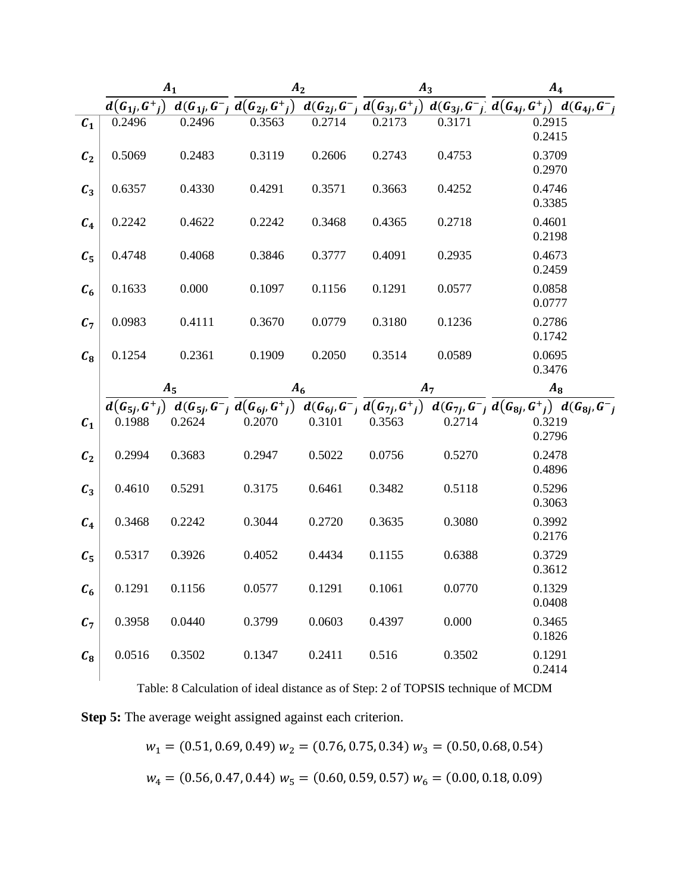|                |                  | $A_1$              | A <sub>2</sub>                                                                                           |        |                                      | $A_3$              | A <sub>4</sub>                                       |
|----------------|------------------|--------------------|----------------------------------------------------------------------------------------------------------|--------|--------------------------------------|--------------------|------------------------------------------------------|
|                | $d(G_{1j}, G^+)$ | $d(G_{1i}, G^{-})$ | $d(G_{2j}, G^{+})$                                                                                       |        | $d(G_{2i}, G^{-}, d(G_{3i}, G^{+}))$ | $d(G_{3j}, G^{-})$ | $d(G_{4j},G^+)$<br>$d(G_{4j}, G^{-})$                |
| c <sub>1</sub> | 0.2496           | 0.2496             | 0.3563                                                                                                   | 0.2714 | 0.2173                               | 0.3171             | 0.2915<br>0.2415                                     |
| $c_{2}$        | 0.5069           | 0.2483             | 0.3119                                                                                                   | 0.2606 | 0.2743                               | 0.4753             | 0.3709<br>0.2970                                     |
| $C_3$          | 0.6357           | 0.4330             | 0.4291                                                                                                   | 0.3571 | 0.3663                               | 0.4252             | 0.4746<br>0.3385                                     |
| $C_4$          | 0.2242           | 0.4622             | 0.2242                                                                                                   | 0.3468 | 0.4365                               | 0.2718             | 0.4601<br>0.2198                                     |
| $C_5$          | 0.4748           | 0.4068             | 0.3846                                                                                                   | 0.3777 | 0.4091                               | 0.2935             | 0.4673<br>0.2459                                     |
| $c_{6}$        | 0.1633           | 0.000              | 0.1097                                                                                                   | 0.1156 | 0.1291                               | 0.0577             | 0.0858<br>0.0777                                     |
| $C_7$          | 0.0983           | 0.4111             | 0.3670                                                                                                   | 0.0779 | 0.3180                               | 0.1236             | 0.2786<br>0.1742                                     |
| $c_{\rm s}$    | 0.1254           | 0.2361             | 0.1909                                                                                                   | 0.2050 | 0.3514                               | 0.0589             | 0.0695<br>0.3476                                     |
|                |                  | $A_5$              | $A_6$                                                                                                    |        |                                      | $A_7$              | $A_8$                                                |
|                |                  |                    | $d(G_{5i}, G^+_{i})$ $d(G_{5i}, G^-_{i})$ $d(G_{6i}, G^+_{i})$ $d(G_{6i}, G^-_{i})$ $d(G_{7i}, G^+_{i})$ |        |                                      |                    | $d(G_{7j}, G^{-}) d(G_{8j}, G^{+}) d(G_{8j}, G^{-})$ |
| C <sub>1</sub> | 0.1988           | 0.2624             | 0.2070                                                                                                   | 0.3101 | 0.3563                               | 0.2714             | 0.3219                                               |
| C <sub>2</sub> |                  |                    |                                                                                                          |        |                                      |                    | 0.2796                                               |
|                | 0.2994           | 0.3683             | 0.2947                                                                                                   | 0.5022 | 0.0756                               | 0.5270             | 0.2478<br>0.4896                                     |
| $C_3$          | 0.4610           | 0.5291             | 0.3175                                                                                                   | 0.6461 | 0.3482                               | 0.5118             | 0.5296<br>0.3063                                     |
| $C_4$          | 0.3468           | 0.2242             | 0.3044                                                                                                   | 0.2720 | 0.3635                               | 0.3080             | 0.3992<br>0.2176                                     |
| $C_5$          | 0.5317           | 0.3926             | 0.4052                                                                                                   | 0.4434 | 0.1155                               | 0.6388             | 0.3729<br>0.3612                                     |
| $c_{6}$        | 0.1291           | 0.1156             | 0.0577                                                                                                   | 0.1291 | 0.1061                               | 0.0770             | 0.1329<br>0.0408                                     |
| $c_{7}$        | 0.3958           | 0.0440             | 0.3799                                                                                                   | 0.0603 | 0.4397                               | 0.000              | 0.3465<br>0.1826                                     |

Table: 8 Calculation of ideal distance as of Step: 2 of TOPSIS technique of MCDM

**Step 5:** The average weight assigned against each criterion.

$$
w_1 = (0.51, 0.69, 0.49) w_2 = (0.76, 0.75, 0.34) w_3 = (0.50, 0.68, 0.54)
$$
  

$$
w_4 = (0.56, 0.47, 0.44) w_5 = (0.60, 0.59, 0.57) w_6 = (0.00, 0.18, 0.09)
$$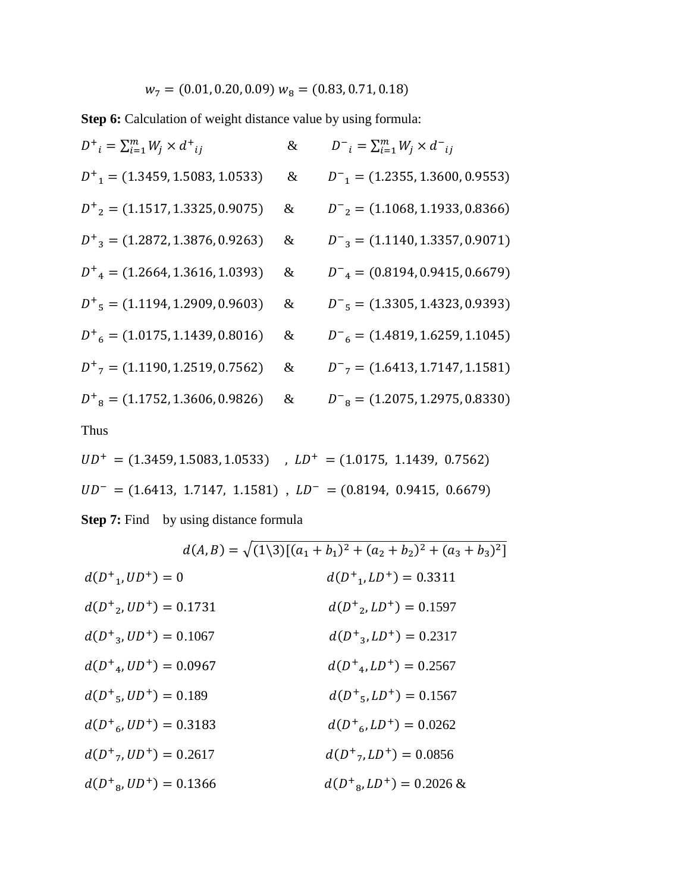$w_7 = (0.01, 0.20, 0.09) w_8 = (0.83, 0.71, 0.18)$ 

**Step 6:** Calculation of weight distance value by using formula:

| $D^+{}_{i} = \sum_{i=1}^{m} W_i \times d^+{}_{ij}$ | $\&$ | $D^{-}{}_{i} = \sum_{i=1}^{m} W_{i} \times d^{-}{}_{ij}$ |
|----------------------------------------------------|------|----------------------------------------------------------|
| $D_{1}^{+}$ = (1.3459, 1.5083, 1.0533)             | $\&$ | $D_{1}^{-}$ = (1.2355, 1.3600, 0.9553)                   |
| $D_{2}^{+}$ = (1.1517, 1.3325, 0.9075)             | &    | $D^-$ <sub>2</sub> = (1.1068, 1.1933, 0.8366)            |
| $D_{3}^{+}$ = (1.2872, 1.3876, 0.9263)             | &    | $D_{3}^{-}$ = (1.1140, 1.3357, 0.9071)                   |
| $D_{4}^{+} = (1.2664, 1.3616, 1.0393)$             | &    | $D_{4}^{-}$ = (0.8194, 0.9415, 0.6679)                   |
| $D_{5}^{+}$ = (1.1194, 1.2909, 0.9603)             | &    | $D_{5}^{-}$ = (1.3305, 1.4323, 0.9393)                   |
| $D_{6}^{+}$ = (1.0175, 1.1439, 0.8016)             | &    | $D_{6}^{-}$ = (1.4819, 1.6259, 1.1045)                   |
| $D_{7}^{+}$ = (1.1190, 1.2519, 0.7562)             | &    | $D^{-}$ <sub>7</sub> = (1.6413, 1.7147, 1.1581)          |
| $D_{8}^{+}$ = (1.1752, 1.3606, 0.9826)             | &    | $D_{8}^{-}$ = (1.2075, 1.2975, 0.8330)                   |
| <b>Thus</b>                                        |      |                                                          |

$$
UD^+ = (1.3459, 1.5083, 1.0533)
$$
,  $LD^+ = (1.0175, 1.1439, 0.7562)$   
\n $UD^- = (1.6413, 1.7147, 1.1581)$ ,  $LD^- = (0.8194, 0.9415, 0.6679)$   
\n**Step 7:** Find by using distance formula

$$
d(A, B) = \sqrt{(1\{3\}[(a_1 + b_1)^2 + (a_2 + b_2)^2 + (a_3 + b_3)^2]}
$$
  
\n
$$
d(D^+{}_1, UD^+) = 0
$$
  
\n
$$
d(D^+{}_2, UD^+) = 0.1731
$$
  
\n
$$
d(D^+{}_3, UD^+) = 0.1067
$$
  
\n
$$
d(D^+{}_3, UD^+) = 0.1067
$$
  
\n
$$
d(D^+{}_3, LD^+) = 0.0967
$$
  
\n
$$
d(D^+{}_4, UD^+) = 0.0967
$$
  
\n
$$
d(D^+{}_5, UD^+) = 0.189
$$
  
\n
$$
d(D^+{}_5, LD^+) = 0.189
$$
  
\n
$$
d(D^+{}_5, LD^+) = 0.1567
$$
  
\n
$$
d(D^+{}_6, UD^+) = 0.3183
$$
  
\n
$$
d(D^+{}_6, LD^+) = 0.2617
$$
  
\n
$$
d(D^+{}_6, LD^+) = 0.0262
$$
  
\n
$$
d(D^+{}_6, UD^+) = 0.0366
$$
  
\n
$$
d(D^+{}_6, LD^+) = 0.0856
$$
  
\n
$$
d(D^+{}_6, LD^+) = 0.2026
$$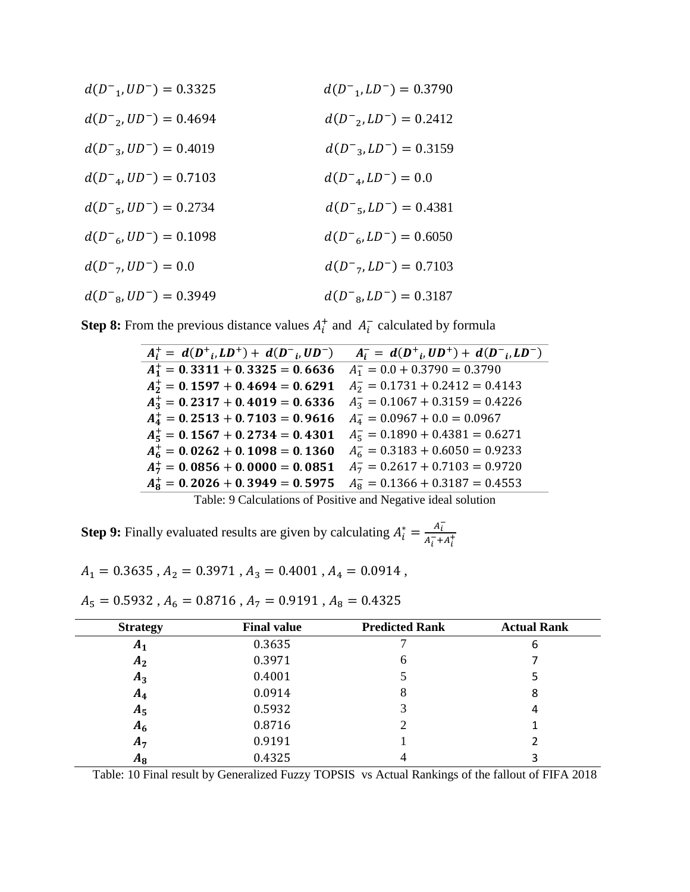| $d(D^{-1}, UD^{-}) = 0.3325$        | $d(D^-$ <sub>1</sub> , $LD^-$ ) = 0.3790 |
|-------------------------------------|------------------------------------------|
| $d(D_{2}^{-}, UD_{2}^{-}) = 0.4694$ | $d(D^-2, LD^-) = 0.2412$                 |
| $d(D^-_3, UD^-) = 0.4019$           | $d(D^-_3, LD^-) = 0.3159$                |
| $d(D4, UD-) = 0.7103$               | $d(D^-_{4}, LD^-) = 0.0$                 |
| $d(D^-_{5}, UD^-) = 0.2734$         | $d(D^-_{5}, LD^-) = 0.4381$              |
| $d(D6, UD-) = 0.1098$               | $d(D^{-}L D^{-}) = 0.6050$               |
| $d(D^-_7, UD^-) = 0.0$              | $d(D^-$ <sub>7</sub> , $LD^-$ ) = 0.7103 |
| $d(D^-g, UD^-) = 0.3949$            | $d(D^-g, LD^-) = 0.3187$                 |

**Step 8:** From the previous distance values  $A_i^+$  and  $A_i^-$  calculated by formula

| $A_i^+ = d(D_{i}^+, LD^+) + d(D_{i}^-, UD^-)$ | $A_i^- = d(D^+{}_i, UD^+) + d(D^-{}_i, LD^-)$ |
|-----------------------------------------------|-----------------------------------------------|
| $A_1^+ = 0.3311 + 0.3325 = 0.6636$            | $A_1^-$ = 0.0 + 0.3790 = 0.3790               |
| $A_2^+ = 0.1597 + 0.4694 = 0.6291$            | $A_2^-$ = 0.1731 + 0.2412 = 0.4143            |
| $A_3^+=0.2317+0.4019=0.6336$                  | $A_3^-$ = 0.1067 + 0.3159 = 0.4226            |
| $A_4^+ = 0.2513 + 0.7103 = 0.9616$            | $A_4^-$ = 0.0967 + 0.0 = 0.0967               |
| $A_5^+=0.1567+0.2734=0.4301$                  | $A_5^-$ = 0.1890 + 0.4381 = 0.6271            |
| $A_6^+ = 0.0262 + 0.1098 = 0.1360$            | $A_6^-$ = 0.3183 + 0.6050 = 0.9233            |
| $A_7^+ = 0.0856 + 0.0000 = 0.0851$            | $A_7 = 0.2617 + 0.7103 = 0.9720$              |
| $A_{8}^{+}=0.2026+0.3949=0.5975$              | $A_8^-$ = 0.1366 + 0.3187 = 0.4553            |
|                                               |                                               |

Table: 9 Calculations of Positive and Negative ideal solution

**Step 9:** Finally evaluated results are given by calculating  $A_i^* = \frac{A_i^-}{A_i^- + A_i^-}$  $A_i^-$ + $A_i^+$ 

$$
A_1=0.3635
$$
 ,  $A_2=0.3971$  ,  $A_3=0.4001$  ,  $A_4=0.0914$  ,

| <b>Strategy</b> | <b>Final value</b> | <b>Predicted Rank</b> | <b>Actual Rank</b> |  |  |
|-----------------|--------------------|-----------------------|--------------------|--|--|
| A <sub>1</sub>  | 0.3635             |                       | b                  |  |  |
| A <sub>2</sub>  | 0.3971             | h                     |                    |  |  |
| $A_3$           | 0.4001             |                       | 5                  |  |  |
| $A_4$           | 0.0914             | 8                     | 8                  |  |  |
| $A_5$           | 0.5932             |                       | 4                  |  |  |

 $A_5 = 0.5932$ ,  $A_6 = 0.8716$ ,  $A_7 = 0.9191$ ,  $A_8 = 0.4325$ 

Table: 10 Final result by Generalized Fuzzy TOPSIS vs Actual Rankings of the fallout of FIFA 2018

 $A_6$  0.8716 2 1  $A_7$  0.9191 1  $A_8$  0.4325 4 3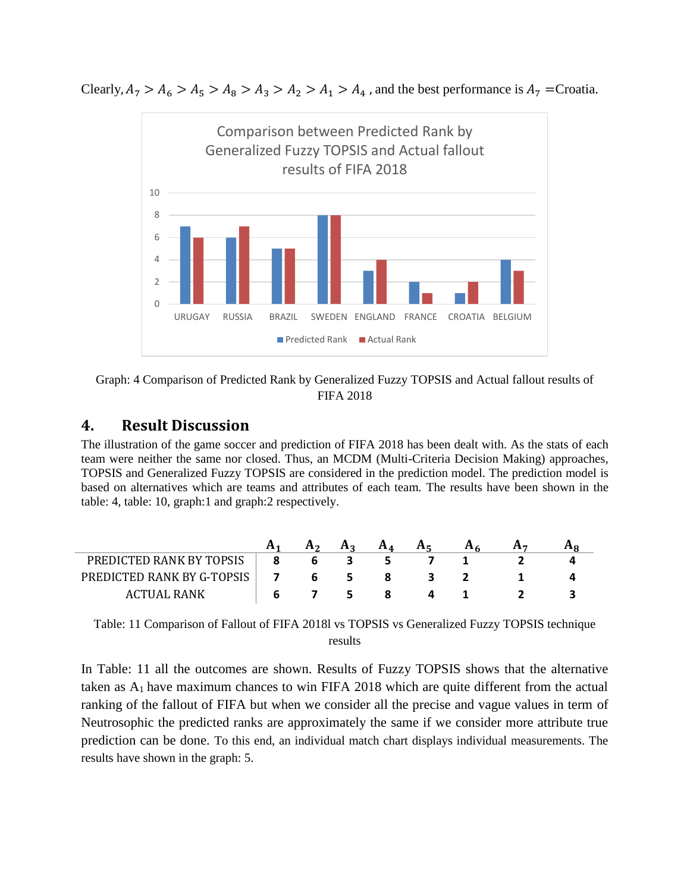Clearly,  $A_7 > A_6 > A_5 > A_8 > A_3 > A_2 > A_1 > A_4$ , and the best performance is  $A_7$  = Croatia.





# **4. Result Discussion**

The illustration of the game soccer and prediction of FIFA 2018 has been dealt with. As the stats of each team were neither the same nor closed. Thus, an MCDM (Multi-Criteria Decision Making) approaches, TOPSIS and Generalized Fuzzy TOPSIS are considered in the prediction model. The prediction model is based on alternatives which are teams and attributes of each team. The results have been shown in the table: 4, table: 10, graph:1 and graph:2 respectively.

|                            | H <sub>2</sub> | A <sub>2</sub> | $A_{\Lambda}$ | A <sub>F</sub> |  |  |
|----------------------------|----------------|----------------|---------------|----------------|--|--|
| PREDICTED RANK BY TOPSIS   | b              |                |               |                |  |  |
| PREDICTED RANK BY G-TOPSIS | b              | 5.             |               |                |  |  |
| ACTUAL RANK                |                |                |               |                |  |  |

Table: 11 Comparison of Fallout of FIFA 2018l vs TOPSIS vs Generalized Fuzzy TOPSIS technique results

In Table: 11 all the outcomes are shown. Results of Fuzzy TOPSIS shows that the alternative taken as  $A_1$  have maximum chances to win FIFA 2018 which are quite different from the actual ranking of the fallout of FIFA but when we consider all the precise and vague values in term of Neutrosophic the predicted ranks are approximately the same if we consider more attribute true prediction can be done. To this end, an individual match chart displays individual measurements. The results have shown in the graph: 5.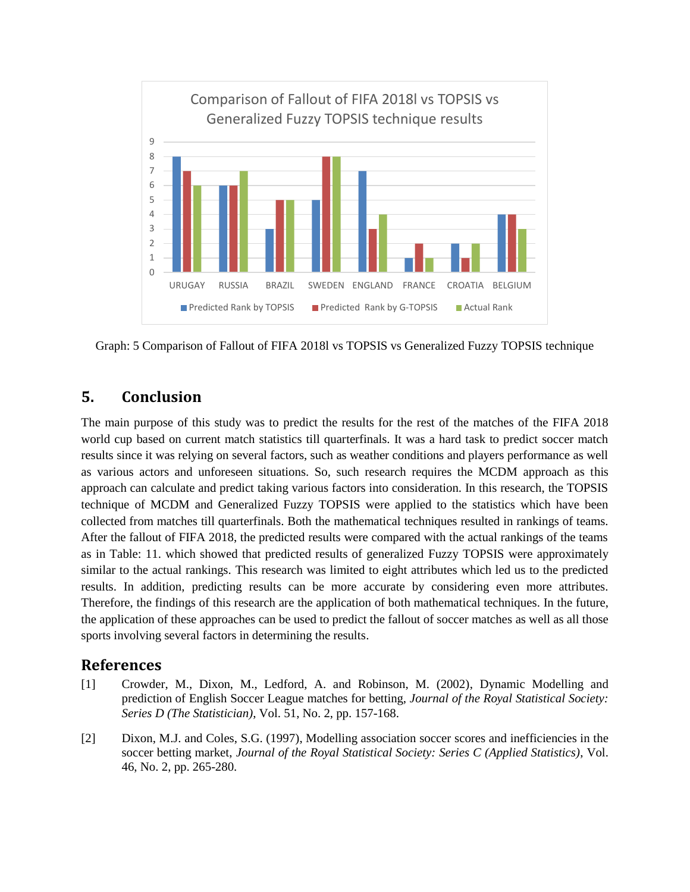

Graph: 5 Comparison of Fallout of FIFA 2018l vs TOPSIS vs Generalized Fuzzy TOPSIS technique

# **5. Conclusion**

The main purpose of this study was to predict the results for the rest of the matches of the FIFA 2018 world cup based on current match statistics till quarterfinals. It was a hard task to predict soccer match results since it was relying on several factors, such as weather conditions and players performance as well as various actors and unforeseen situations. So, such research requires the MCDM approach as this approach can calculate and predict taking various factors into consideration. In this research, the TOPSIS technique of MCDM and Generalized Fuzzy TOPSIS were applied to the statistics which have been collected from matches till quarterfinals. Both the mathematical techniques resulted in rankings of teams. After the fallout of FIFA 2018, the predicted results were compared with the actual rankings of the teams as in Table: 11. which showed that predicted results of generalized Fuzzy TOPSIS were approximately similar to the actual rankings. This research was limited to eight attributes which led us to the predicted results. In addition, predicting results can be more accurate by considering even more attributes. Therefore, the findings of this research are the application of both mathematical techniques. In the future, the application of these approaches can be used to predict the fallout of soccer matches as well as all those sports involving several factors in determining the results.

### **References**

- [1] Crowder, M., Dixon, M., Ledford, A. and Robinson, M. (2002), Dynamic Modelling and prediction of English Soccer League matches for betting, *Journal of the Royal Statistical Society: Series D (The Statistician)*, Vol. 51, No. 2, pp. 157-168.
- [2] Dixon, M.J. and Coles, S.G. (1997), Modelling association soccer scores and inefficiencies in the soccer betting market, *Journal of the Royal Statistical Society: Series C (Applied Statistics)*, Vol. 46, No. 2, pp. 265-280.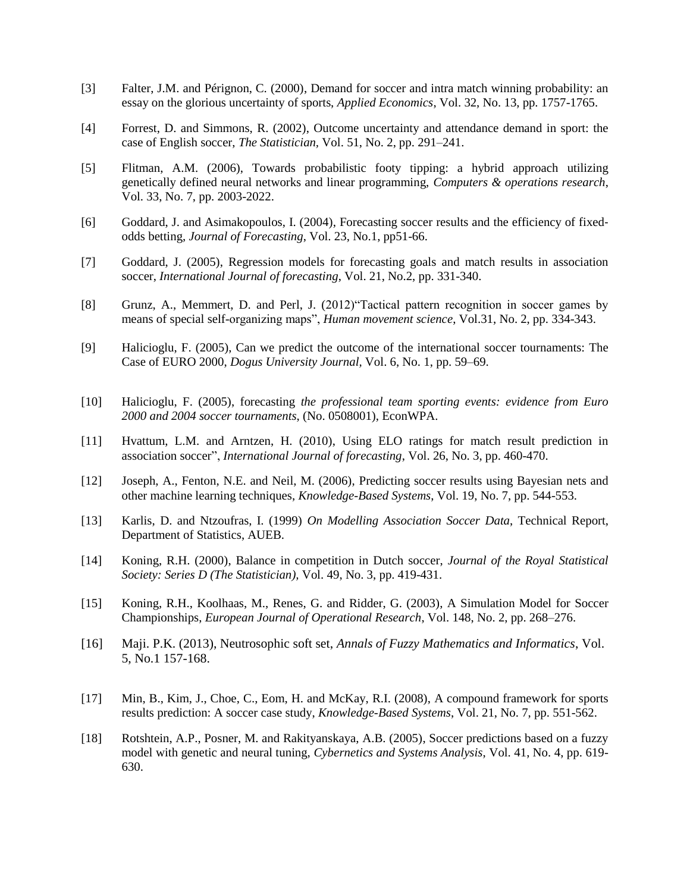- [3] Falter, J.M. and Pérignon, C. (2000), Demand for soccer and intra match winning probability: an essay on the glorious uncertainty of sports, *Applied Economics*, Vol. 32, No. 13, pp. 1757-1765.
- [4] Forrest, D. and Simmons, R. (2002), Outcome uncertainty and attendance demand in sport: the case of English soccer, *The Statistician,* Vol. 51, No. 2, pp. 291–241.
- [5] Flitman, A.M. (2006), Towards probabilistic footy tipping: a hybrid approach utilizing genetically defined neural networks and linear programming, *Computers & operations research*, Vol. 33, No. 7, pp. 2003-2022.
- [6] Goddard, J. and Asimakopoulos, I. (2004), Forecasting soccer results and the efficiency of fixedodds betting, *Journal of Forecasting*, Vol. 23, No.1, pp51-66.
- [7] Goddard, J. (2005), Regression models for forecasting goals and match results in association soccer, *International Journal of forecasting*, Vol. 21, No.2, pp. 331-340.
- [8] Grunz, A., Memmert, D. and Perl, J. (2012)"Tactical pattern recognition in soccer games by means of special self-organizing maps", *Human movement science*, Vol.31, No. 2, pp. 334-343.
- [9] Halicioglu, F. (2005), Can we predict the outcome of the international soccer tournaments: The Case of EURO 2000, *Dogus University Journal,* Vol. 6, No. 1, pp. 59–69.
- [10] Halicioglu, F. (2005), forecasting *the professional team sporting events: evidence from Euro 2000 and 2004 soccer tournaments*, (No. 0508001), EconWPA.
- [11] Hvattum, L.M. and Arntzen, H. (2010), Using ELO ratings for match result prediction in association soccer", *International Journal of forecasting*, Vol. 26, No. 3, pp. 460-470.
- [12] Joseph, A., Fenton, N.E. and Neil, M. (2006), Predicting soccer results using Bayesian nets and other machine learning techniques, *Knowledge-Based Systems*, Vol. 19, No. 7, pp. 544-553.
- [13] Karlis, D. and Ntzoufras, I. (1999) *On Modelling Association Soccer Data*, Technical Report, Department of Statistics, AUEB.
- [14] Koning, R.H. (2000), Balance in competition in Dutch soccer, *Journal of the Royal Statistical Society: Series D (The Statistician),* Vol. 49, No. 3, pp. 419-431.
- [15] Koning, R.H., Koolhaas, M., Renes, G. and Ridder, G. (2003), A Simulation Model for Soccer Championships, *European Journal of Operational Research*, Vol. 148, No. 2, pp. 268–276.
- [16] Maji. P.K. (2013), Neutrosophic soft set, *Annals of Fuzzy Mathematics and Informatics*, Vol. 5, No.1 157-168.
- [17] Min, B., Kim, J., Choe, C., Eom, H. and McKay, R.I. (2008), A compound framework for sports results prediction: A soccer case study, *Knowledge-Based Systems*, Vol. 21, No. 7, pp. 551-562.
- [18] Rotshtein, A.P., Posner, M. and Rakityanskaya, A.B. (2005), Soccer predictions based on a fuzzy model with genetic and neural tuning, *Cybernetics and Systems Analysis*, Vol. 41, No. 4, pp. 619- 630.